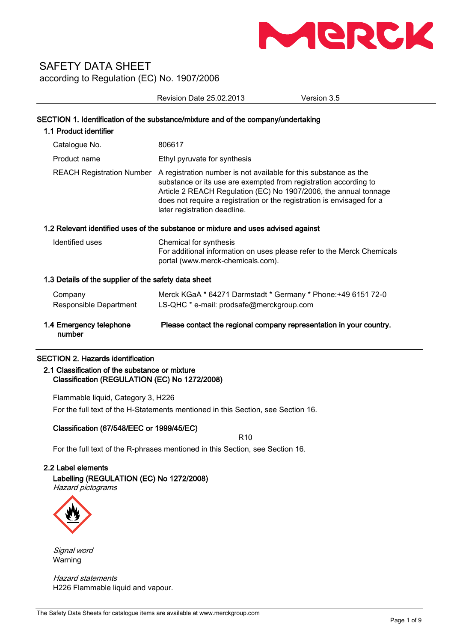

Revision Date 25.02.2013 Version 3.5

| 1.1 Product identifier                               | SECTION 1. Identification of the substance/mixture and of the company/undertaking                                                                                                                                                                                                                                  |
|------------------------------------------------------|--------------------------------------------------------------------------------------------------------------------------------------------------------------------------------------------------------------------------------------------------------------------------------------------------------------------|
| Catalogue No.                                        | 806617                                                                                                                                                                                                                                                                                                             |
| Product name                                         | Ethyl pyruvate for synthesis                                                                                                                                                                                                                                                                                       |
| <b>REACH Registration Number</b>                     | A registration number is not available for this substance as the<br>substance or its use are exempted from registration according to<br>Article 2 REACH Regulation (EC) No 1907/2006, the annual tonnage<br>does not require a registration or the registration is envisaged for a<br>later registration deadline. |
|                                                      | 1.2 Relevant identified uses of the substance or mixture and uses advised against                                                                                                                                                                                                                                  |
| Identified uses                                      | Chemical for synthesis<br>For additional information on uses please refer to the Merck Chemicals<br>portal (www.merck-chemicals.com).                                                                                                                                                                              |
| 1.3 Details of the supplier of the safety data sheet |                                                                                                                                                                                                                                                                                                                    |
| Company<br>Responsible Department                    | Merck KGaA * 64271 Darmstadt * Germany * Phone: +49 6151 72-0<br>LS-QHC * e-mail: prodsafe@merckgroup.com                                                                                                                                                                                                          |
| 1.4 Emergency telephone<br>number                    | Please contact the regional company representation in your country.                                                                                                                                                                                                                                                |
| <b>SECTION 2. Hazards identification</b>             |                                                                                                                                                                                                                                                                                                                    |

# 2.1 Classification of the substance or mixture

Classification (REGULATION (EC) No 1272/2008)

Flammable liquid, Category 3, H226 For the full text of the H-Statements mentioned in this Section, see Section 16.

## Classification (67/548/EEC or 1999/45/EC)

R10

For the full text of the R-phrases mentioned in this Section, see Section 16.

## 2.2 Label elements

Labelling (REGULATION (EC) No 1272/2008) Hazard pictograms



Signal word Warning

Hazard statements H226 Flammable liquid and vapour.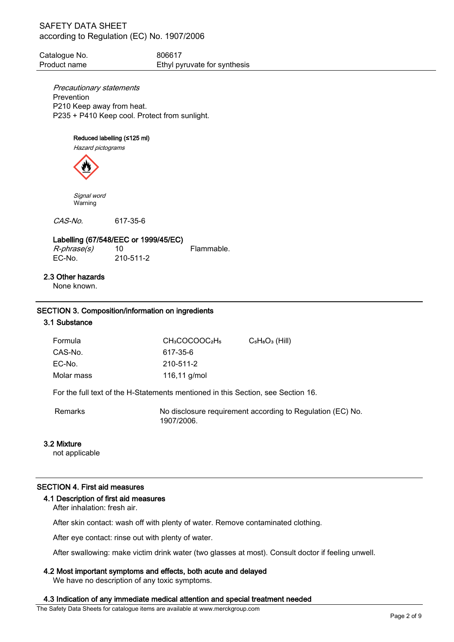Catalogue No. 806617 Product name Ethyl pyruvate for synthesis

Precautionary statements Prevention P210 Keep away from heat. P235 + P410 Keep cool. Protect from sunlight.

## Reduced labelling (≤125 ml)

Hazard pictograms



 Signal word Warning

CAS-No. 617-35-6

## Labelling (67/548/EEC or 1999/45/EC)

 $R$ -*phrase(s)* 10 Flammable.<br>FC-No. 210-511-2

EC-No. 210-511-2

## 2.3 Other hazards

None known.

#### SECTION 3. Composition/information on ingredients

## 3.1 Substance

| Formula                                                                          | CH <sub>3</sub> COCOOC <sub>2</sub> H <sub>5</sub> | $C_5H_8O_3$ (Hill) |
|----------------------------------------------------------------------------------|----------------------------------------------------|--------------------|
| CAS-No.                                                                          | 617-35-6                                           |                    |
| EC-No.                                                                           | 210-511-2                                          |                    |
| Molar mass                                                                       | 116,11 $q/mol$                                     |                    |
| For the full text of the H-Statements mentioned in this Section, see Section 16. |                                                    |                    |

Remarks **No disclosure requirement according to Regulation (EC) No.** 1907/2006.

#### 3.2 Mixture

not applicable

#### SECTION 4. First aid measures

#### 4.1 Description of first aid measures

After inhalation: fresh air.

After skin contact: wash off with plenty of water. Remove contaminated clothing.

After eye contact: rinse out with plenty of water.

After swallowing: make victim drink water (two glasses at most). Consult doctor if feeling unwell.

#### 4.2 Most important symptoms and effects, both acute and delayed

We have no description of any toxic symptoms.

#### 4.3 Indication of any immediate medical attention and special treatment needed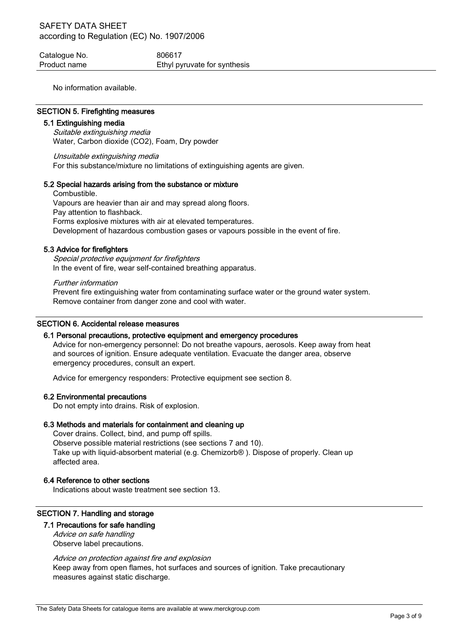Catalogue No. 6806617 Product name Ethyl pyruvate for synthesis

No information available.

#### SECTION 5. Firefighting measures

#### 5.1 Extinguishing media

Suitable extinguishing media Water, Carbon dioxide (CO2), Foam, Dry powder

Unsuitable extinguishing media For this substance/mixture no limitations of extinguishing agents are given.

#### 5.2 Special hazards arising from the substance or mixture

Combustible. Vapours are heavier than air and may spread along floors. Pay attention to flashback. Forms explosive mixtures with air at elevated temperatures. Development of hazardous combustion gases or vapours possible in the event of fire.

#### 5.3 Advice for firefighters

Special protective equipment for firefighters In the event of fire, wear self-contained breathing apparatus.

Further information

Prevent fire extinguishing water from contaminating surface water or the ground water system. Remove container from danger zone and cool with water.

## SECTION 6. Accidental release measures

## 6.1 Personal precautions, protective equipment and emergency procedures

Advice for non-emergency personnel: Do not breathe vapours, aerosols. Keep away from heat and sources of ignition. Ensure adequate ventilation. Evacuate the danger area, observe emergency procedures, consult an expert.

Advice for emergency responders: Protective equipment see section 8.

#### 6.2 Environmental precautions

Do not empty into drains. Risk of explosion.

#### 6.3 Methods and materials for containment and cleaning up

Cover drains. Collect, bind, and pump off spills. Observe possible material restrictions (see sections 7 and 10). Take up with liquid-absorbent material (e.g. Chemizorb® ). Dispose of properly. Clean up affected area.

#### 6.4 Reference to other sections

Indications about waste treatment see section 13.

## SECTION 7. Handling and storage

#### 7.1 Precautions for safe handling

Advice on safe handling Observe label precautions.

#### Advice on protection against fire and explosion

Keep away from open flames, hot surfaces and sources of ignition. Take precautionary measures against static discharge.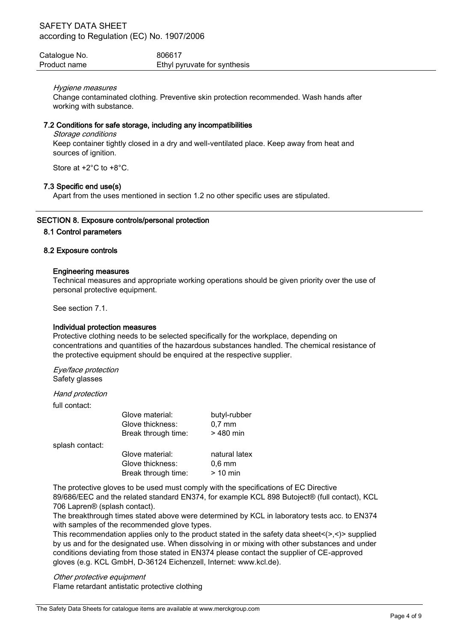| Catalogue No. | 806617                       |
|---------------|------------------------------|
| Product name  | Ethyl pyruvate for synthesis |

## Hygiene measures

Change contaminated clothing. Preventive skin protection recommended. Wash hands after working with substance.

#### 7.2 Conditions for safe storage, including any incompatibilities

Storage conditions

Keep container tightly closed in a dry and well-ventilated place. Keep away from heat and sources of ignition.

Store at +2°C to +8°C.

## 7.3 Specific end use(s)

Apart from the uses mentioned in section 1.2 no other specific uses are stipulated.

## SECTION 8. Exposure controls/personal protection

#### 8.1 Control parameters

## 8.2 Exposure controls

## Engineering measures

Technical measures and appropriate working operations should be given priority over the use of personal protective equipment.

See section 7.1.

#### Individual protection measures

Protective clothing needs to be selected specifically for the workplace, depending on concentrations and quantities of the hazardous substances handled. The chemical resistance of the protective equipment should be enquired at the respective supplier.

Eye/face protection Safety glasses

#### Hand protection

full contact:

|                 | Glove material:     | butyl-rubber  |
|-----------------|---------------------|---------------|
|                 | Glove thickness:    | $0,7$ mm      |
|                 | Break through time: | $>480$ min    |
| splash contact: |                     |               |
|                 | Glove material:     | natural latex |
|                 | Glove thickness:    | $0,6$ mm      |
|                 | Break through time: | $> 10$ min    |
|                 |                     |               |

The protective gloves to be used must comply with the specifications of EC Directive 89/686/EEC and the related standard EN374, for example KCL 898 Butoject® (full contact), KCL 706 Lapren® (splash contact).

The breakthrough times stated above were determined by KCL in laboratory tests acc. to EN374 with samples of the recommended glove types.

This recommendation applies only to the product stated in the safety data sheet $\langle \rangle$ , $\langle \rangle$  supplied by us and for the designated use. When dissolving in or mixing with other substances and under conditions deviating from those stated in EN374 please contact the supplier of CE-approved gloves (e.g. KCL GmbH, D-36124 Eichenzell, Internet: www.kcl.de).

Other protective equipment Flame retardant antistatic protective clothing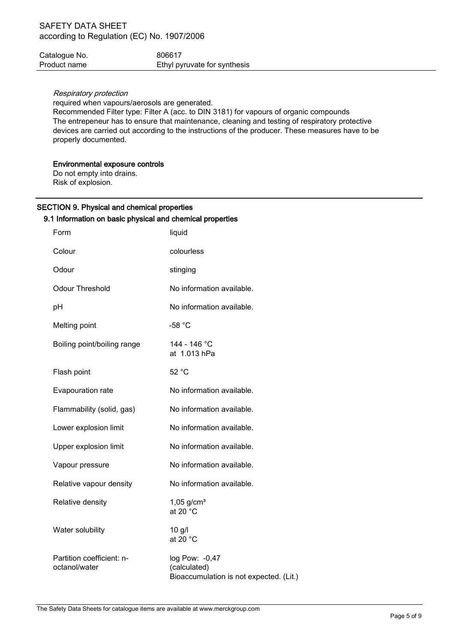| Catalogue No. | 806617                       |
|---------------|------------------------------|
| Product name  | Ethyl pyruvate for synthesis |

## Respiratory protection

required when vapours/aerosols are generated.

Recommended Filter type: Filter A (acc. to DIN 3181) for vapours of organic compounds The entrepeneur has to ensure that maintenance, cleaning and testing of respiratory protective devices are carried out according to the instructions of the producer. These measures have to be properly documented.

## Environmental exposure controls

Do not empty into drains. Risk of explosion.

# SECTION 9. Physical and chemical properties

## 9.1 Information on basic physical and chemical properties

| Form                                       | liquid                                                                    |
|--------------------------------------------|---------------------------------------------------------------------------|
| Colour                                     | colourless                                                                |
| Odour                                      | stinging                                                                  |
| <b>Odour Threshold</b>                     | No information available.                                                 |
| pH                                         | No information available.                                                 |
| Melting point                              | $-58 °C$                                                                  |
| Boiling point/boiling range                | 144 - 146 °C<br>at 1.013 hPa                                              |
| Flash point                                | 52 °C                                                                     |
| Evapouration rate                          | No information available.                                                 |
| Flammability (solid, gas)                  | No information available.                                                 |
| Lower explosion limit                      | No information available.                                                 |
| Upper explosion limit                      | No information available.                                                 |
| Vapour pressure                            | No information available.                                                 |
| Relative vapour density                    | No information available.                                                 |
| Relative density                           | $1,05$ g/cm <sup>3</sup><br>at 20 $^{\circ}$ C                            |
| Water solubility                           | $10$ g/l<br>at 20 $^{\circ}$ C                                            |
| Partition coefficient: n-<br>octanol/water | log Pow: -0,47<br>(calculated)<br>Bioaccumulation is not expected. (Lit.) |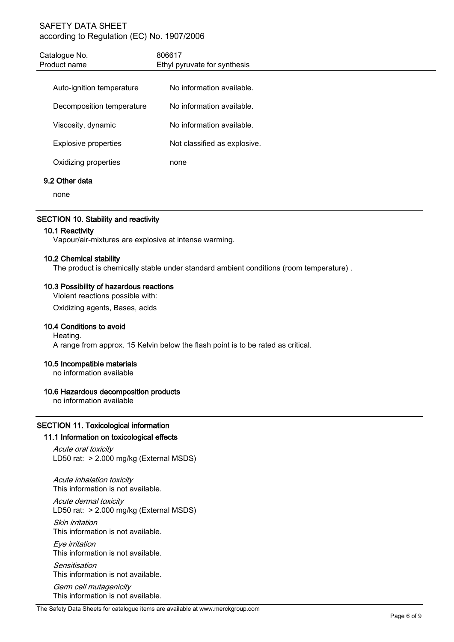| 806617<br>Ethyl pyruvate for synthesis |
|----------------------------------------|
| No information available.              |
| No information available.              |
| No information available.              |
| Not classified as explosive.           |
| none                                   |
|                                        |

## 9.2 Other data

none

## SECTION 10. Stability and reactivity

## 10.1 Reactivity

Vapour/air-mixtures are explosive at intense warming.

## 10.2 Chemical stability

The product is chemically stable under standard ambient conditions (room temperature) .

## 10.3 Possibility of hazardous reactions

Violent reactions possible with:

Oxidizing agents, Bases, acids

## 10.4 Conditions to avoid

Heating. A range from approx. 15 Kelvin below the flash point is to be rated as critical.

## 10.5 Incompatible materials

no information available

## 10.6 Hazardous decomposition products

no information available

## SECTION 11. Toxicological information

## 11.1 Information on toxicological effects

Acute oral toxicity LD50 rat: > 2.000 mg/kg (External MSDS)

Acute inhalation toxicity This information is not available.

Acute dermal toxicity LD50 rat: > 2.000 mg/kg (External MSDS)

Skin irritation This information is not available.

Eye irritation This information is not available.

**Sensitisation** This information is not available.

Germ cell mutagenicity This information is not available.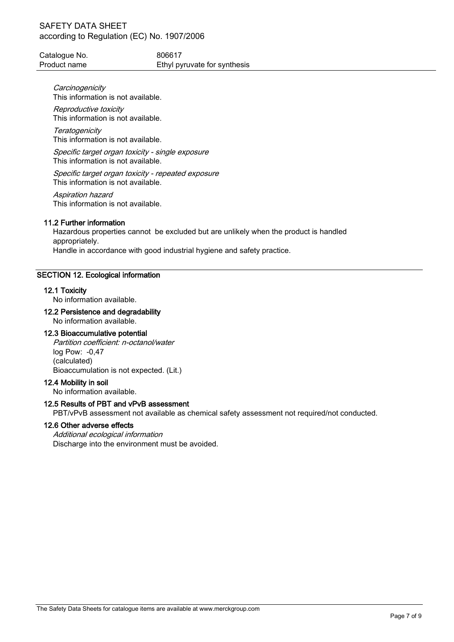| Catalogue No. | 806617                       |
|---------------|------------------------------|
| Product name  | Ethyl pyruvate for synthesis |

**Carcinogenicity** This information is not available.

Reproductive toxicity This information is not available.

**Teratogenicity** This information is not available.

Specific target organ toxicity - single exposure This information is not available.

Specific target organ toxicity - repeated exposure This information is not available.

Aspiration hazard This information is not available.

## 11.2 Further information

Hazardous properties cannot be excluded but are unlikely when the product is handled appropriately. Handle in accordance with good industrial hygiene and safety practice.

## SECTION 12. Ecological information

#### 12.1 Toxicity

No information available.

## 12.2 Persistence and degradability

No information available.

#### 12.3 Bioaccumulative potential

Partition coefficient: n-octanol/water log Pow: -0,47 (calculated) Bioaccumulation is not expected. (Lit.)

#### 12.4 Mobility in soil

No information available.

## 12.5 Results of PBT and vPvB assessment

PBT/vPvB assessment not available as chemical safety assessment not required/not conducted.

#### 12.6 Other adverse effects

Additional ecological information Discharge into the environment must be avoided.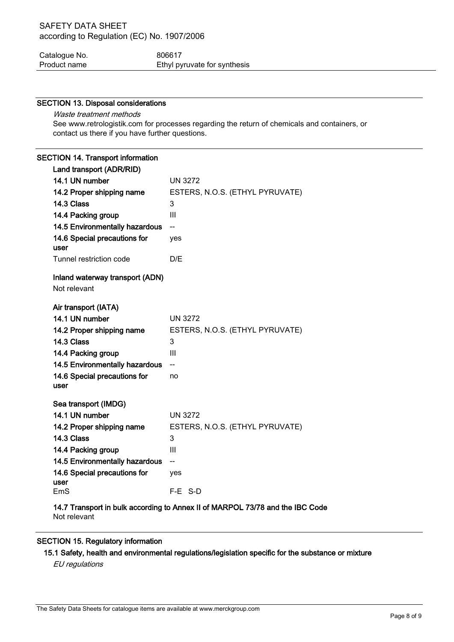| Catalogue No. | 806617                       |
|---------------|------------------------------|
| Product name  | Ethyl pyruvate for synthesis |

## SECTION 13. Disposal considerations

Waste treatment methods See www.retrologistik.com for processes regarding the return of chemicals and containers, or contact us there if you have further questions.

## SECTION 14. Transport information

| Land transport (ADR/RID)              |                                 |
|---------------------------------------|---------------------------------|
| 14.1 UN number                        | <b>UN 3272</b>                  |
| 14.2 Proper shipping name             | ESTERS, N.O.S. (ETHYL PYRUVATE) |
| 14.3 Class                            | 3                               |
| 14.4 Packing group                    | Ш                               |
| 14.5 Environmentally hazardous        | $-$                             |
| 14.6 Special precautions for<br>user  | yes                             |
| Tunnel restriction code               | D/E                             |
| Inland waterway transport (ADN)       |                                 |
| Not relevant                          |                                 |
|                                       |                                 |
| Air transport (IATA)                  |                                 |
| 14.1 UN number                        | <b>UN 3272</b>                  |
| 14.2 Proper shipping name             | ESTERS, N.O.S. (ETHYL PYRUVATE) |
| 14.3 Class                            | 3                               |
| 14.4 Packing group                    | Ш                               |
| <b>14.5 Environmentally hazardous</b> | $-$                             |
| 14.6 Special precautions for          | no                              |
| user                                  |                                 |
| Sea transport (IMDG)                  |                                 |
| 14.1 UN number                        | <b>UN 3272</b>                  |
| 14.2 Proper shipping name             | ESTERS, N.O.S. (ETHYL PYRUVATE) |
| 14.3 Class                            | 3                               |
| 14.4 Packing group                    | III                             |
| <b>14.5 Environmentally hazardous</b> | $\overline{\phantom{a}}$        |
| 14.6 Special precautions for          | yes                             |
| user                                  |                                 |
| EmS                                   | F-E S-D                         |

14.7 Transport in bulk according to Annex II of MARPOL 73/78 and the IBC Code Not relevant

## SECTION 15. Regulatory information

15.1 Safety, health and environmental regulations/legislation specific for the substance or mixture

EU regulations